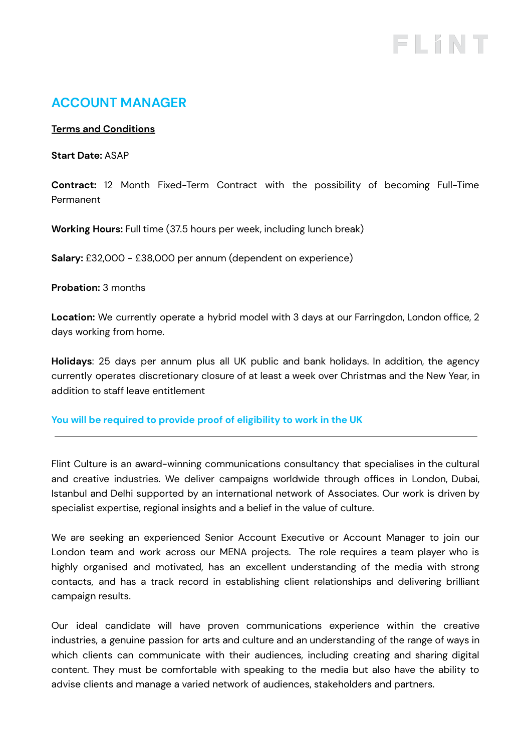# FLINT

# **ACCOUNT MANAGER**

#### **Terms and Conditions**

**Start Date:** ASAP

**Contract:** 12 Month Fixed-Term Contract with the possibility of becoming Full-Time Permanent

**Working Hours:** Full time (37.5 hours per week, including lunch break)

**Salary:** £32,000 - £38,000 per annum (dependent on experience)

**Probation:** 3 months

**Location:** We currently operate a hybrid model with 3 days at our Farringdon, London office, 2 days working from home.

**Holidays**: 25 days per annum plus all UK public and bank holidays. In addition, the agency currently operates discretionary closure of at least a week over Christmas and the New Year, in addition to staff leave entitlement

#### **You will be required to provide proof of eligibility to work in the UK**

Flint Culture is an award-winning communications consultancy that specialises in the cultural and creative industries. We deliver campaigns worldwide through offices in London, Dubai, Istanbul and Delhi supported by an international network of Associates. Our work is driven by specialist expertise, regional insights and a belief in the value of culture.

We are seeking an experienced Senior Account Executive or Account Manager to join our London team and work across our MENA projects. The role requires a team player who is highly organised and motivated, has an excellent understanding of the media with strong contacts, and has a track record in establishing client relationships and delivering brilliant campaign results.

Our ideal candidate will have proven communications experience within the creative industries, a genuine passion for arts and culture and an understanding of the range of ways in which clients can communicate with their audiences, including creating and sharing digital content. They must be comfortable with speaking to the media but also have the ability to advise clients and manage a varied network of audiences, stakeholders and partners.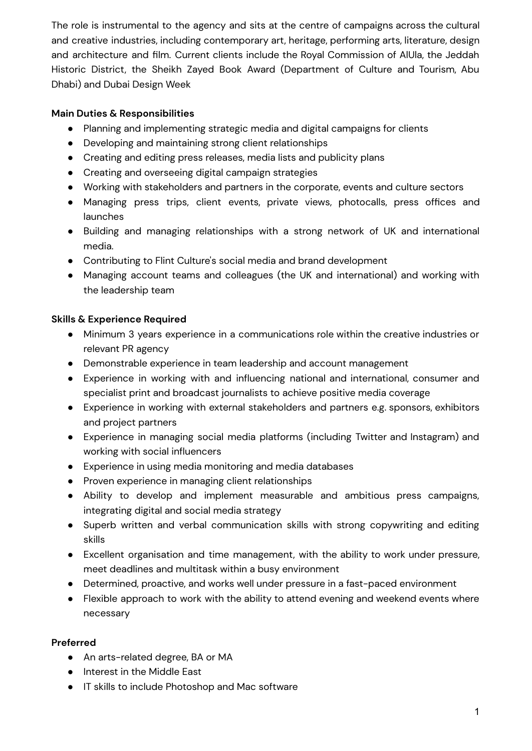The role is instrumental to the agency and sits at the centre of campaigns across the cultural and creative industries, including contemporary art, heritage, performing arts, literature, design and architecture and film. Current clients include the Royal Commission of AlUla, the Jeddah Historic District, the Sheikh Zayed Book Award (Department of Culture and Tourism, Abu Dhabi) and Dubai Design Week

### **Main Duties & Responsibilities**

- Planning and implementing strategic media and digital campaigns for clients
- Developing and maintaining strong client relationships
- Creating and editing press releases, media lists and publicity plans
- Creating and overseeing digital campaign strategies
- Working with stakeholders and partners in the corporate, events and culture sectors
- Managing press trips, client events, private views, photocalls, press offices and launches
- Building and managing relationships with a strong network of UK and international media.
- Contributing to Flint Culture's social media and brand development
- Managing account teams and colleagues (the UK and international) and working with the leadership team

# **Skills & Experience Required**

- Minimum 3 years experience in a communications role within the creative industries or relevant PR agency
- Demonstrable experience in team leadership and account management
- Experience in working with and influencing national and international, consumer and specialist print and broadcast journalists to achieve positive media coverage
- Experience in working with external stakeholders and partners e.g. sponsors, exhibitors and project partners
- Experience in managing social media platforms (including Twitter and Instagram) and working with social influencers
- Experience in using media monitoring and media databases
- Proven experience in managing client relationships
- Ability to develop and implement measurable and ambitious press campaigns, integrating digital and social media strategy
- Superb written and verbal communication skills with strong copywriting and editing skills
- Excellent organisation and time management, with the ability to work under pressure, meet deadlines and multitask within a busy environment
- Determined, proactive, and works well under pressure in a fast-paced environment
- Flexible approach to work with the ability to attend evening and weekend events where necessary

## **Preferred**

- An arts-related degree, BA or MA
- Interest in the Middle East
- IT skills to include Photoshop and Mac software